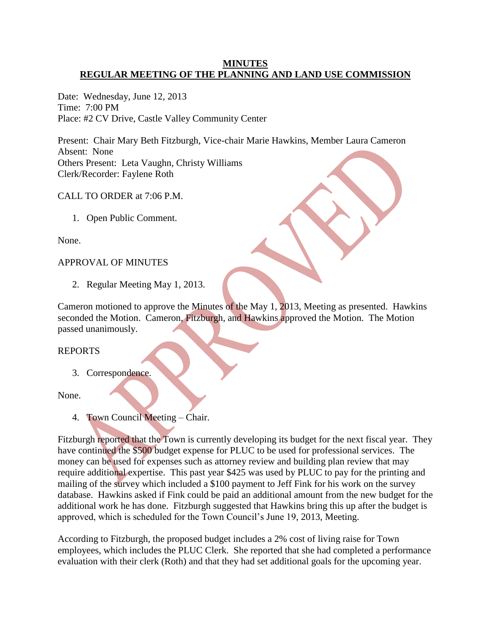# **MINUTES REGULAR MEETING OF THE PLANNING AND LAND USE COMMISSION**

Date: Wednesday, June 12, 2013 Time: 7:00 PM Place: #2 CV Drive, Castle Valley Community Center

Present: Chair Mary Beth Fitzburgh, Vice-chair Marie Hawkins, Member Laura Cameron Absent: None Others Present: Leta Vaughn, Christy Williams Clerk/Recorder: Faylene Roth

CALL TO ORDER at 7:06 P.M.

1. Open Public Comment.

None.

# APPROVAL OF MINUTES

2. Regular Meeting May 1, 2013.

Cameron motioned to approve the Minutes of the May 1, 2013, Meeting as presented. Hawkins seconded the Motion. Cameron, Fitzburgh, and Hawkins approved the Motion. The Motion passed unanimously.

# REPORTS

3. Correspondence.

### None.

4. Town Council Meeting – Chair.

Fitzburgh reported that the Town is currently developing its budget for the next fiscal year. They have continued the \$500 budget expense for PLUC to be used for professional services. The money can be used for expenses such as attorney review and building plan review that may require additional expertise. This past year \$425 was used by PLUC to pay for the printing and mailing of the survey which included a \$100 payment to Jeff Fink for his work on the survey database. Hawkins asked if Fink could be paid an additional amount from the new budget for the additional work he has done. Fitzburgh suggested that Hawkins bring this up after the budget is approved, which is scheduled for the Town Council's June 19, 2013, Meeting.

According to Fitzburgh, the proposed budget includes a 2% cost of living raise for Town employees, which includes the PLUC Clerk. She reported that she had completed a performance evaluation with their clerk (Roth) and that they had set additional goals for the upcoming year.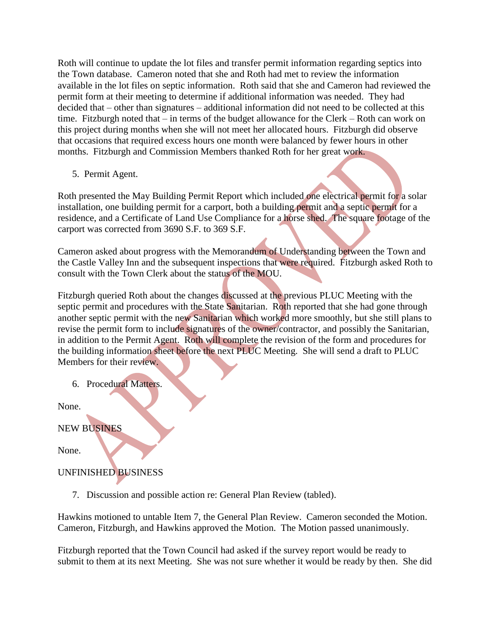Roth will continue to update the lot files and transfer permit information regarding septics into the Town database. Cameron noted that she and Roth had met to review the information available in the lot files on septic information. Roth said that she and Cameron had reviewed the permit form at their meeting to determine if additional information was needed. They had decided that – other than signatures – additional information did not need to be collected at this time. Fitzburgh noted that – in terms of the budget allowance for the Clerk – Roth can work on this project during months when she will not meet her allocated hours. Fitzburgh did observe that occasions that required excess hours one month were balanced by fewer hours in other months. Fitzburgh and Commission Members thanked Roth for her great work.

5. Permit Agent.

Roth presented the May Building Permit Report which included one electrical permit for a solar installation, one building permit for a carport, both a building permit and a septic permit for a residence, and a Certificate of Land Use Compliance for a horse shed. The square footage of the carport was corrected from 3690 S.F. to 369 S.F.

Cameron asked about progress with the Memorandum of Understanding between the Town and the Castle Valley Inn and the subsequent inspections that were required. Fitzburgh asked Roth to consult with the Town Clerk about the status of the MOU.

Fitzburgh queried Roth about the changes discussed at the previous PLUC Meeting with the septic permit and procedures with the State Sanitarian. Roth reported that she had gone through another septic permit with the new Sanitarian which worked more smoothly, but she still plans to revise the permit form to include signatures of the owner/contractor, and possibly the Sanitarian, in addition to the Permit Agent. Roth will complete the revision of the form and procedures for the building information sheet before the next PLUC Meeting. She will send a draft to PLUC Members for their review.

6. Procedural Matters.

None.

# NEW BUSINES

None.

# UNFINISHED BUSINESS

7. Discussion and possible action re: General Plan Review (tabled).

Hawkins motioned to untable Item 7, the General Plan Review. Cameron seconded the Motion. Cameron, Fitzburgh, and Hawkins approved the Motion. The Motion passed unanimously.

Fitzburgh reported that the Town Council had asked if the survey report would be ready to submit to them at its next Meeting. She was not sure whether it would be ready by then. She did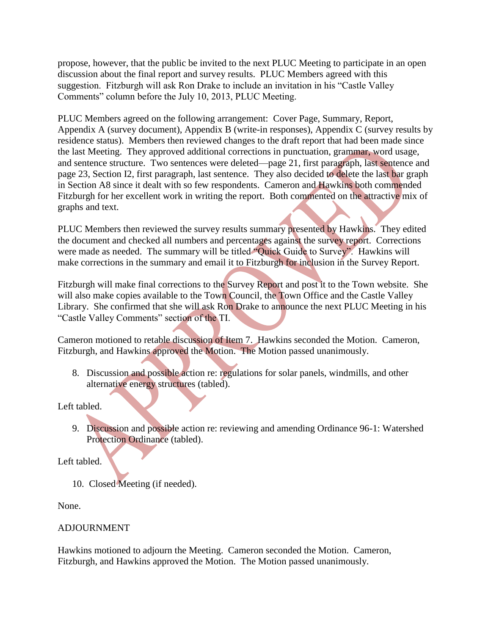propose, however, that the public be invited to the next PLUC Meeting to participate in an open discussion about the final report and survey results. PLUC Members agreed with this suggestion. Fitzburgh will ask Ron Drake to include an invitation in his "Castle Valley Comments" column before the July 10, 2013, PLUC Meeting.

PLUC Members agreed on the following arrangement: Cover Page, Summary, Report, Appendix A (survey document), Appendix B (write-in responses), Appendix C (survey results by residence status). Members then reviewed changes to the draft report that had been made since the last Meeting. They approved additional corrections in punctuation, grammar, word usage, and sentence structure. Two sentences were deleted—page 21, first paragraph, last sentence and page 23, Section I2, first paragraph, last sentence. They also decided to delete the last bar graph in Section A8 since it dealt with so few respondents. Cameron and Hawkins both commended Fitzburgh for her excellent work in writing the report. Both commented on the attractive mix of graphs and text.

PLUC Members then reviewed the survey results summary presented by Hawkins. They edited the document and checked all numbers and percentages against the survey report. Corrections were made as needed. The summary will be titled "Quick Guide to Survey". Hawkins will make corrections in the summary and email it to Fitzburgh for inclusion in the Survey Report.

Fitzburgh will make final corrections to the Survey Report and post it to the Town website. She will also make copies available to the Town Council, the Town Office and the Castle Valley Library. She confirmed that she will ask Ron Drake to announce the next PLUC Meeting in his "Castle Valley Comments" section of the TI.

Cameron motioned to retable discussion of Item 7. Hawkins seconded the Motion. Cameron, Fitzburgh, and Hawkins approved the Motion. The Motion passed unanimously.

8. Discussion and possible action re: regulations for solar panels, windmills, and other alternative energy structures (tabled).

Left tabled.

 9. Discussion and possible action re: reviewing and amending Ordinance 96-1: Watershed Protection Ordinance (tabled).

Left tabled.

10. Closed Meeting (if needed).

None.

# ADJOURNMENT

Hawkins motioned to adjourn the Meeting. Cameron seconded the Motion. Cameron, Fitzburgh, and Hawkins approved the Motion. The Motion passed unanimously.